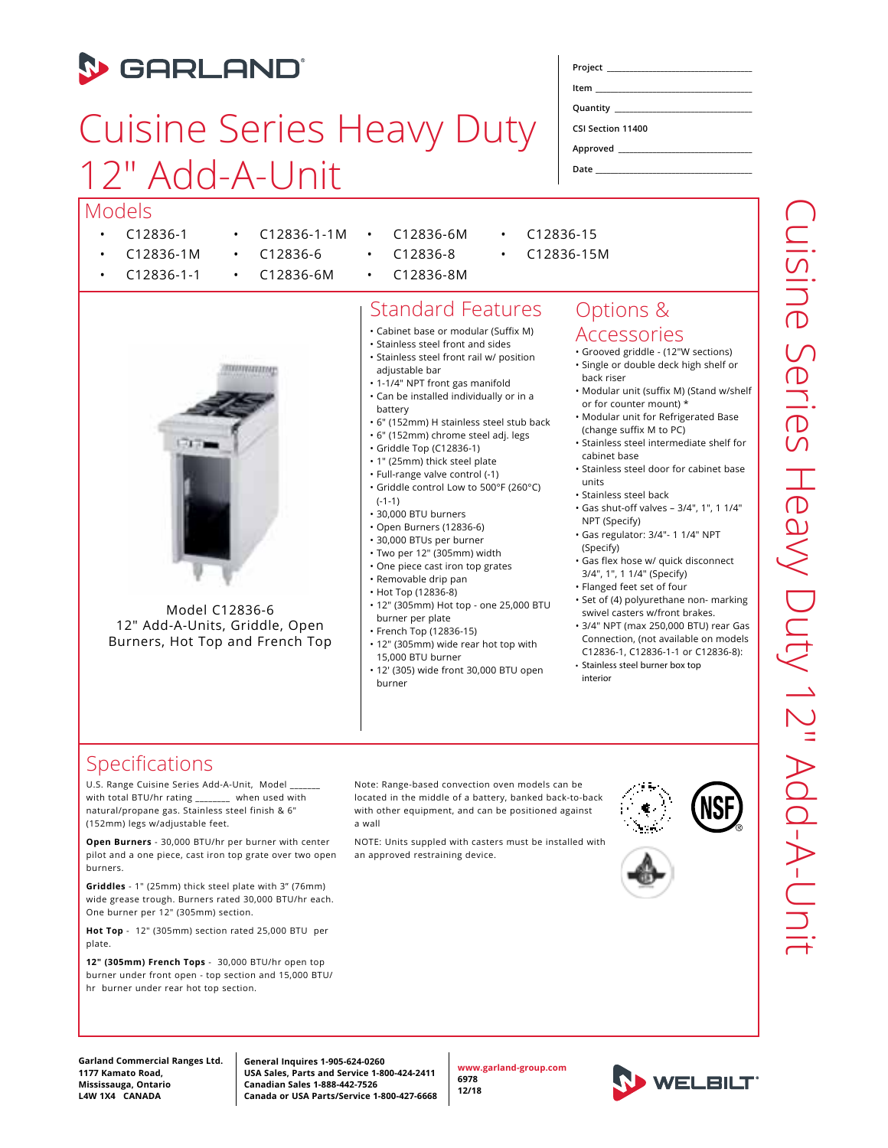## **D** GARLAND

# Cuisine Series Heavy Duty 12" Add-A-Unit

• C12836-1-1M

| Models |  |
|--------|--|
|        |  |

- C12836-1
- C12836-1M • C12836-1-1
- C12836-6 • C12836-6M

**UUWATATA IY** 

- C12836-6M • C12836-8
	- C12836-8M

### Standard Features

- Cabinet base or modular (Suffix M)
- Stainless steel front and sides • Stainless steel front rail w/ position
- adjustable bar
- 1-1/4" NPT front gas manifold
- Can be installed individually or in a
- battery • 6" (152mm) H stainless steel stub back
- 6" (152mm) chrome steel adj. legs
- Griddle Top (C12836-1)
- 1" (25mm) thick steel plate
- Full-range valve control (-1)
- Griddle control Low to 500°F (260°C) (-1-1)
- 30,000 BTU burners
- Open Burners (12836-6)
- 30,000 BTUs per burner
- Two per 12" (305mm) width
- One piece cast iron top grates
- Removable drip pan
- Hot Top (12836-8)
- 12" (305mm) Hot top one 25,000 BTU burner per plate
- French Top (12836-15)
- 12" (305mm) wide rear hot top with 15,000 BTU burner
- 12' (305) wide front 30,000 BTU open burner

#### Options & **Accessories**

- Grooved griddle (12"W sections) • Single or double deck high shelf or
- back riser • Modular unit (suffix M) (Stand w/shelf or for counter mount) \*
- Modular unit for Refrigerated Base
- (change suffix M to PC) • Stainless steel intermediate shelf for
- cabinet base • Stainless steel door for cabinet base units
- Stainless steel back
- Gas shut-off valves 3/4", 1", 1 1/4" NPT (Specify)
- Gas regulator: 3/4"- 1 1/4" NPT (Specify)
- Gas flex hose w/ quick disconnect 3/4", 1", 1 1/4" (Specify)
- Flanged feet set of four
- Set of (4) polyurethane non- marking swivel casters w/front brakes.
- 3/4" NPT (max 250,000 BTU) rear Gas Connection, (not available on models
- C12836-1, C12836-1-1 or C12836-8): • Stainless steel burner box top interior

#### Specifications

U.S. Range Cuisine Series Add-A-Unit, Model \_\_\_\_\_\_\_ with total BTU/hr rating \_\_\_\_\_\_\_\_ when used with natural/propane gas. Stainless steel finish & 6" (152mm) legs w/adjustable feet.

Model C12836-6 12" Add-A-Units, Griddle, Open Burners, Hot Top and French Top

**Open Burners** - 30,000 BTU/hr per burner with center pilot and a one piece, cast iron top grate over two open burners.

**Griddles** - 1" (25mm) thick steel plate with 3" (76mm) wide grease trough. Burners rated 30,000 BTU/hr each. One burner per 12" (305mm) section.

**Hot Top** - 12" (305mm) section rated 25,000 BTU per plate.

**12" (305mm) French Tops** - 30,000 BTU/hr open top burner under front open - top section and 15,000 BTU/ hr burner under rear hot top section.

Note: Range-based convection oven models can be located in the middle of a battery, banked back-to-back with other equipment, and can be positioned against a wall

NOTE: Units suppled with casters must be installed with an approved restraining device.





**General Inquires 1-905-624-0260 USA Sales, Parts and Service 1-800-424-2411 Canadian Sales 1-888-442-7526 Canada or USA Parts/Service 1-800-427-6668**

**www.garland-group.com 6978 12/18** 



| ハ2・リニーへ ハハー・ハルー・ハ2 ^     |
|--------------------------|
|                          |
|                          |
|                          |
|                          |
| ر<br>۲                   |
|                          |
| ー)<br>)                  |
|                          |
|                          |
|                          |
|                          |
|                          |
| )<br>د<br>-              |
|                          |
|                          |
| $\overline{\phantom{a}}$ |
|                          |
|                          |
| $\frac{1}{2}$            |
| I<br>I                   |
| I<br>$\frac{1}{2}$       |
| $\sum_{i=1}^{n}$         |
| $\frac{1}{c}$            |

**Project \_\_\_\_\_\_\_\_\_\_\_\_\_\_\_\_\_\_\_\_\_\_\_\_\_\_\_\_\_\_\_\_\_\_\_\_\_\_**

**Item \_\_\_\_\_\_\_\_\_\_\_\_\_\_\_\_\_\_\_\_\_\_\_\_\_\_\_\_\_\_\_\_\_\_\_\_\_\_\_\_\_ Quantity \_\_\_\_\_\_\_\_\_\_\_\_\_\_\_\_\_\_\_\_\_\_\_\_\_\_\_\_\_\_\_\_\_\_\_\_**

**CSI Section 11400**

**Approved \_\_\_\_\_\_\_\_\_\_\_\_\_\_\_\_\_\_\_\_\_\_\_\_\_\_\_\_\_\_\_\_\_\_\_ Date \_\_\_\_\_\_\_\_\_\_\_\_\_\_\_\_\_\_\_\_\_\_\_\_\_\_\_\_\_\_\_\_\_\_\_\_\_\_\_\_\_**

• C12836-15 • C12836-15M